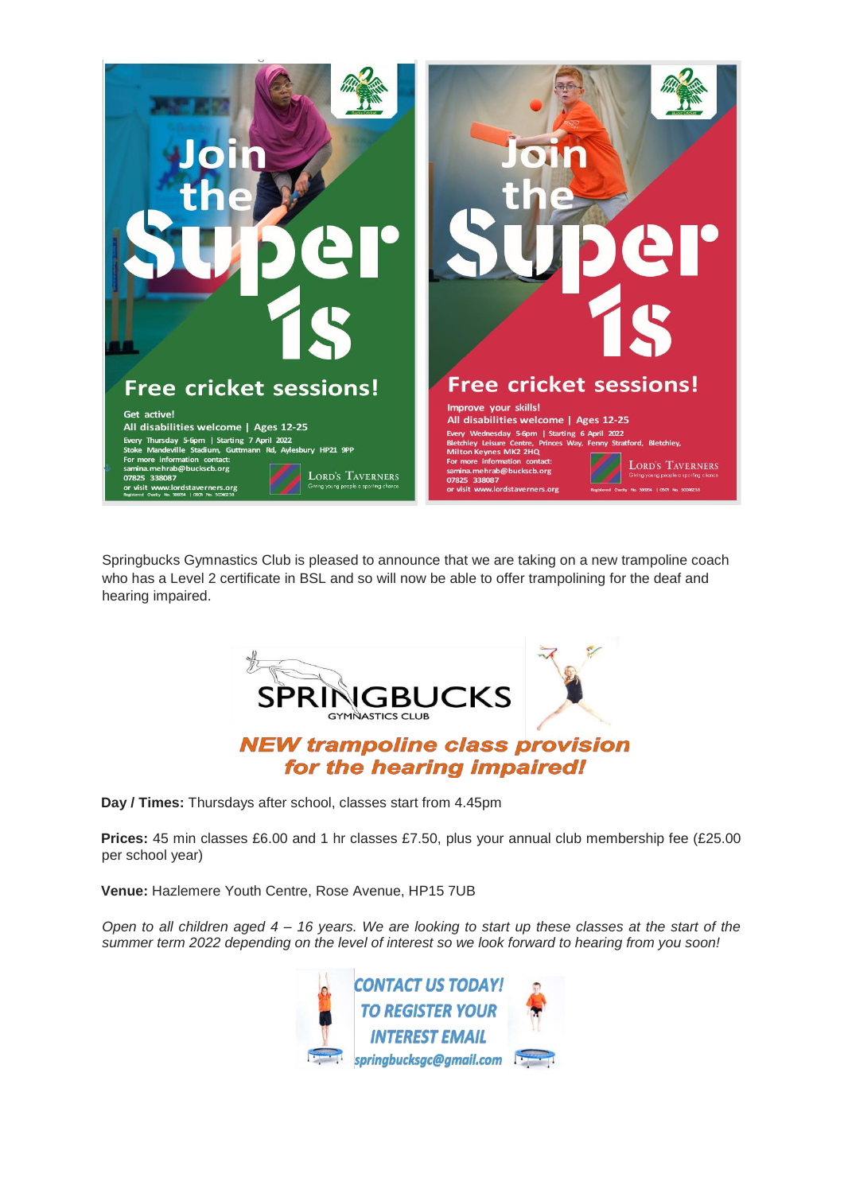

Springbucks Gymnastics Club is pleased to announce that we are taking on a new trampoline coach who has a Level 2 certificate in BSL and so will now be able to offer trampolining for the deaf and hearing impaired.



**Day / Times:** Thursdays after school, classes start from 4.45pm

**Prices:** 45 min classes £6.00 and 1 hr classes £7.50, plus your annual club membership fee (£25.00 per school year)

**Venue:** Hazlemere Youth Centre, Rose Avenue, HP15 7UB

*Open to all children aged 4 – 16 years. We are looking to start up these classes at the start of the summer term 2022 depending on the level of interest so we look forward to hearing from you soon!* 

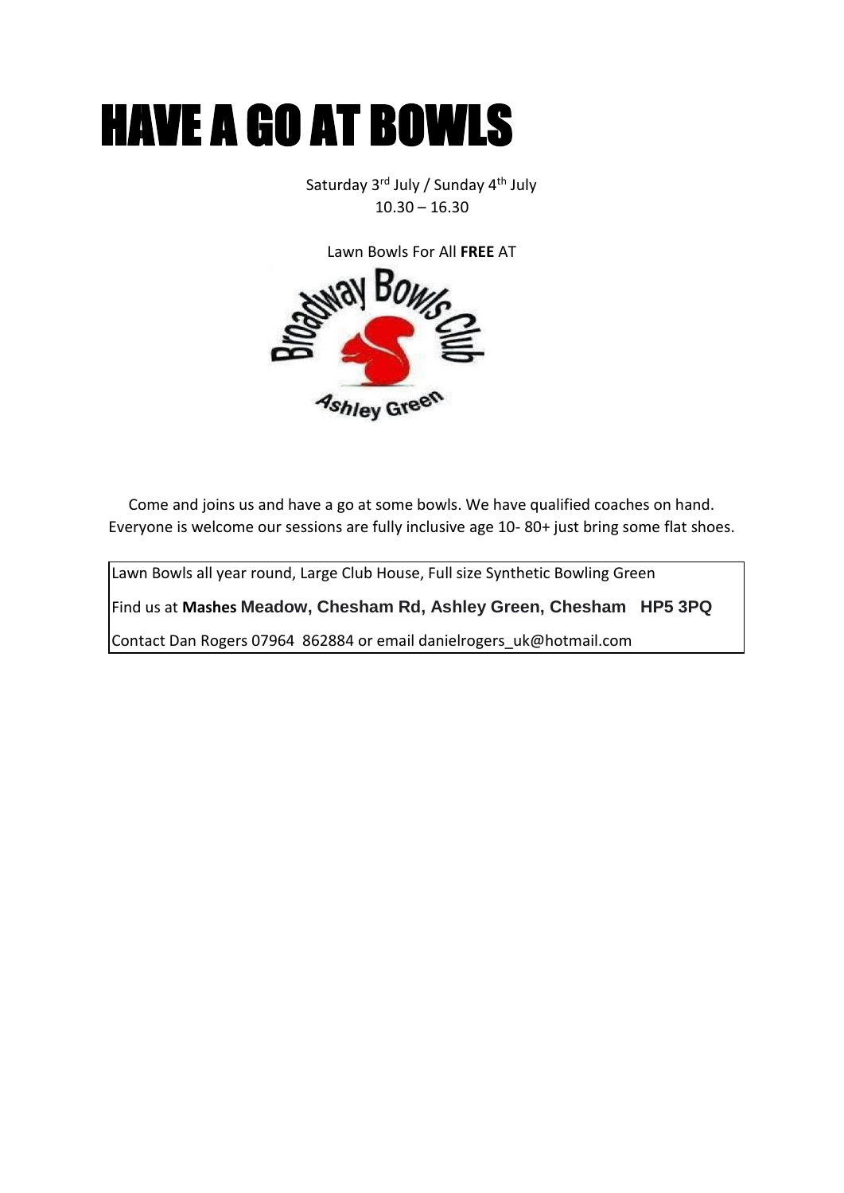

Saturday 3rd July / Sunday 4th July  $10.30 - 16.30$ 

Lawn Bowls For All **FREE** AT Ashley Green

Come and joins us and have a go at some bowls. We have qualified coaches on hand. Everyone is welcome our sessions are fully inclusive age 10- 80+ just bring some flat shoes.

Lawn Bowls all year round, Large Club House, Full size Synthetic Bowling Green

Find us at **Mashes Meadow, Chesham Rd, Ashley Green, Chesham HP5 3PQ**

Contact Dan Rogers 07964 862884 or email danielrogers\_uk@hotmail.com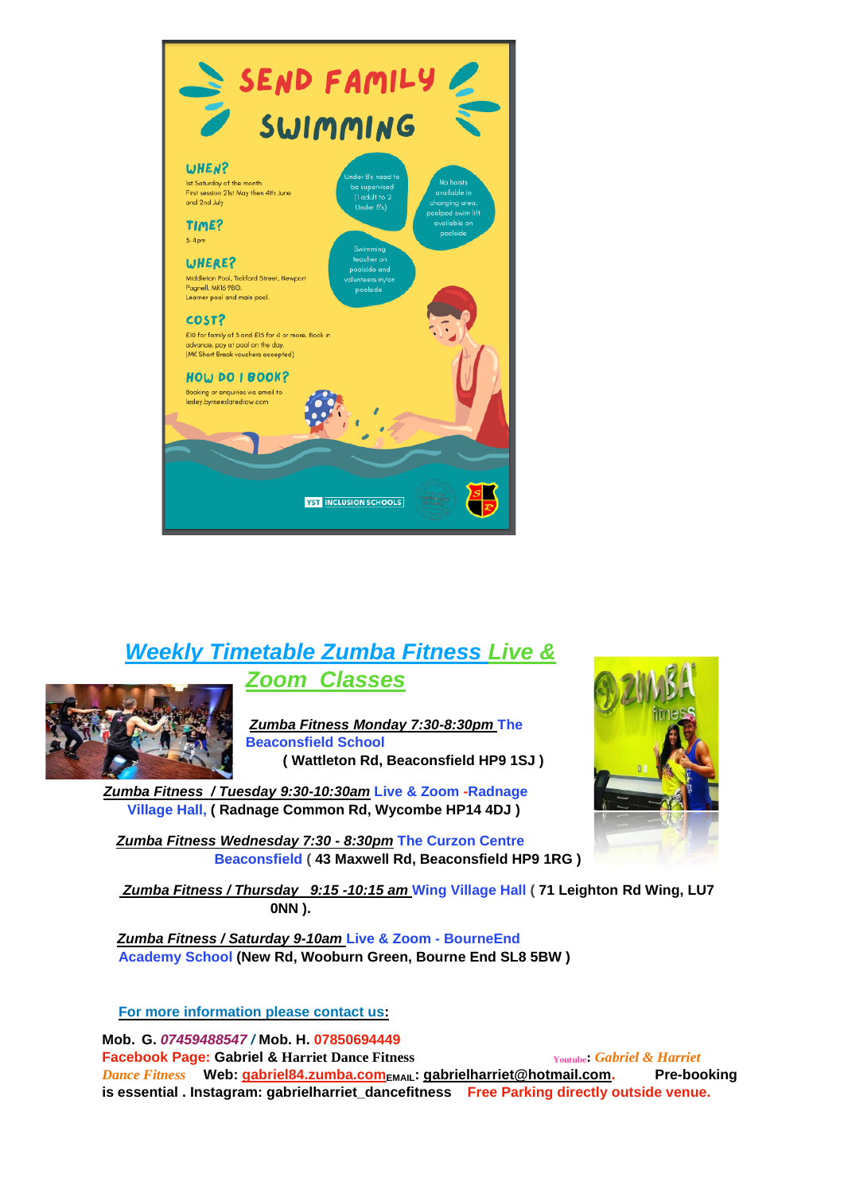

## *Weekly Timetable Zumba Fitness Live & Zoom Classes*



*Zumba Fitness Monday 7:30-8:30pm* **The Beaconsfield School ( Wattleton Rd, Beaconsfield HP9 1SJ )** 

*Zumba Fitness / Tuesday 9:30-10:30am* **Live & Zoom -Radnage Village Hall, ( Radnage Common Rd, Wycombe HP14 4DJ )** 

*Zumba Fitness Wednesday 7:30 - 8:30pm* **The Curzon Centre Beaconsfield ( 43 Maxwell Rd, Beaconsfield HP9 1RG )** 

*Zumba Fitness / Thursday 9:15 -10:15 am* **Wing Village Hall ( 71 Leighton Rd Wing, LU7 0NN ).** 

*Zumba Fitness / Saturday 9-10am* **Live & Zoom - BourneEnd Academy School (New Rd, Wooburn Green, Bourne End SL8 5BW )** 

**For more information please contact us:** 

**Mob. G.** *07459488547 /* **Mob. H. 07850694449 Facebook Page: Gabriel & Harriet Dance Fitness <b>***Youtube*: Gabriel & Harriet *Dance Fitness* **Web: [gabriel84.zumba.com](http://www.gabriel84.zumba.com/)EMAIL: gabrielharriet@hotmail.com. Pre-booking is essential . Instagram: gabrielharriet\_dancefitness Free Parking directly outside venue.**